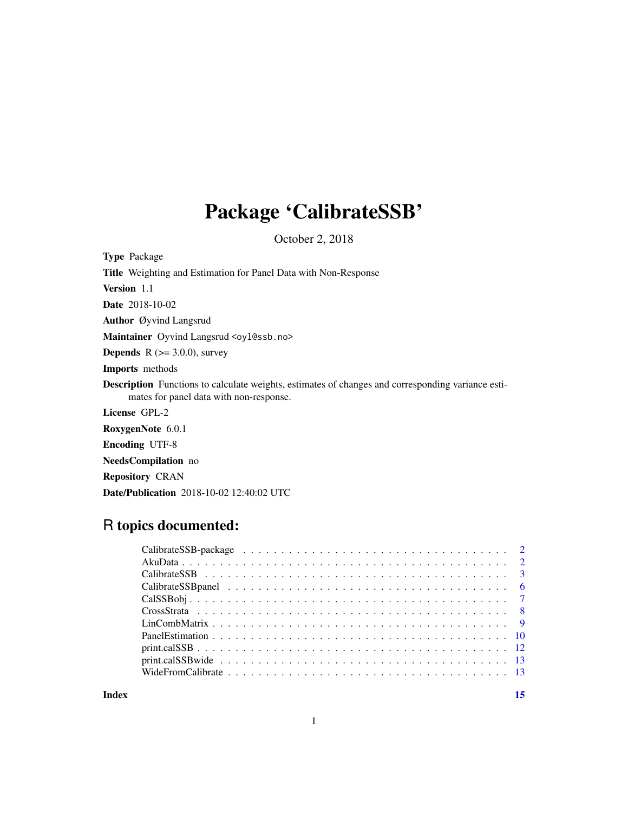## Package 'CalibrateSSB'

October 2, 2018

Type Package

Title Weighting and Estimation for Panel Data with Non-Response

Version 1.1

Date 2018-10-02

Author Øyvind Langsrud

Maintainer Oyvind Langsrud <oyl@ssb.no>

**Depends** R  $(>= 3.0.0)$ , survey

Imports methods

Description Functions to calculate weights, estimates of changes and corresponding variance estimates for panel data with non-response.

License GPL-2

RoxygenNote 6.0.1

Encoding UTF-8

NeedsCompilation no

Repository CRAN

Date/Publication 2018-10-02 12:40:02 UTC

## R topics documented:

**Index** [15](#page-14-0)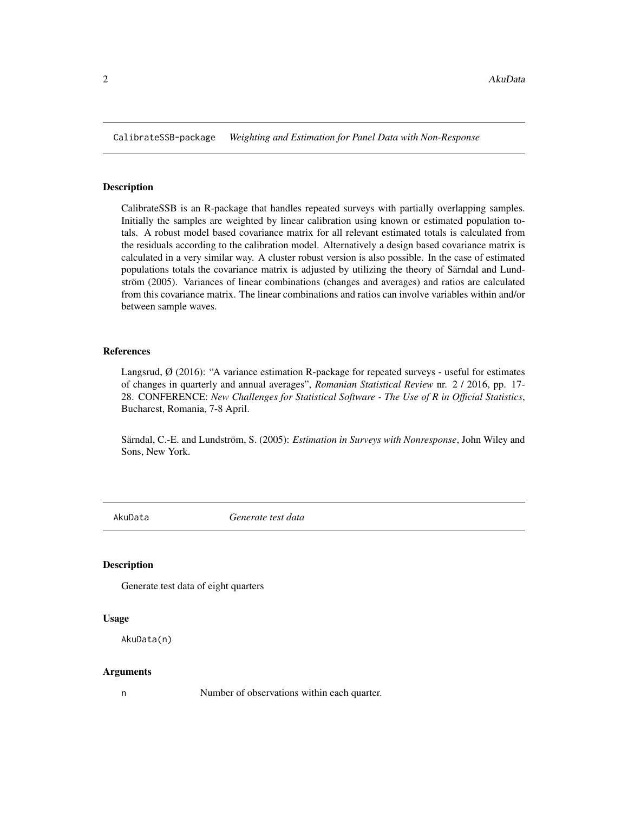<span id="page-1-0"></span>CalibrateSSB-package *Weighting and Estimation for Panel Data with Non-Response*

#### Description

CalibrateSSB is an R-package that handles repeated surveys with partially overlapping samples. Initially the samples are weighted by linear calibration using known or estimated population totals. A robust model based covariance matrix for all relevant estimated totals is calculated from the residuals according to the calibration model. Alternatively a design based covariance matrix is calculated in a very similar way. A cluster robust version is also possible. In the case of estimated populations totals the covariance matrix is adjusted by utilizing the theory of Särndal and Lundström (2005). Variances of linear combinations (changes and averages) and ratios are calculated from this covariance matrix. The linear combinations and ratios can involve variables within and/or between sample waves.

#### References

Langsrud, Ø (2016): "A variance estimation R-package for repeated surveys - useful for estimates of changes in quarterly and annual averages", *Romanian Statistical Review* nr. 2 / 2016, pp. 17- 28. CONFERENCE: *New Challenges for Statistical Software - The Use of R in Official Statistics*, Bucharest, Romania, 7-8 April.

Särndal, C.-E. and Lundström, S. (2005): *Estimation in Surveys with Nonresponse*, John Wiley and Sons, New York.

AkuData *Generate test data*

#### **Description**

Generate test data of eight quarters

#### Usage

AkuData(n)

#### Arguments

n Number of observations within each quarter.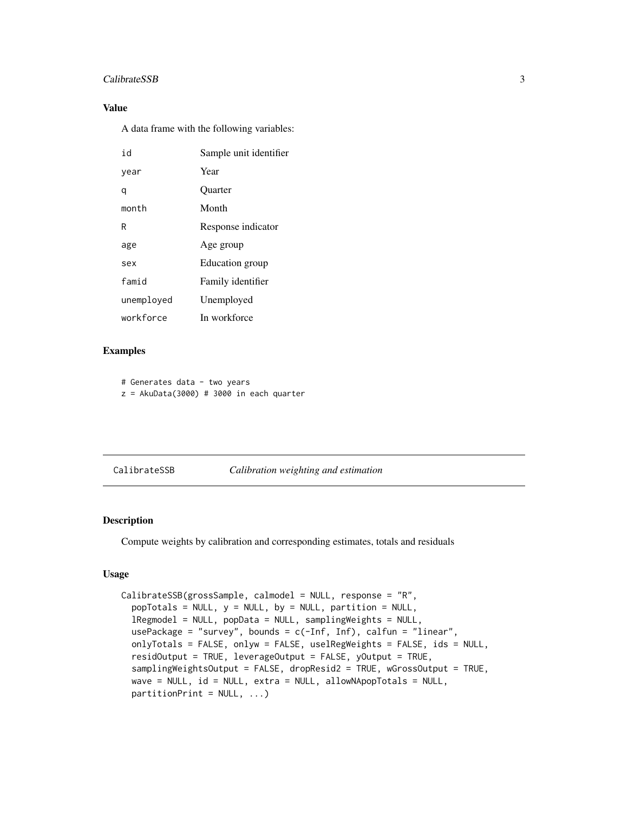#### <span id="page-2-0"></span>CalibrateSSB 3

#### Value

A data frame with the following variables:

| h i        | Sample unit identifier |
|------------|------------------------|
| year       | Year                   |
| q          | <b>Ouarter</b>         |
| month      | Month                  |
| R          | Response indicator     |
| age        | Age group              |
| sex        | Education group        |
| famid      | Family identifier      |
| unemployed | Unemployed             |
| workforce  | In workforce           |

#### Examples

```
# Generates data - two years
```
 $z = AkuData(3000) # 3000 in each quarter$ 

#### <span id="page-2-1"></span>CalibrateSSB *Calibration weighting and estimation*

#### Description

Compute weights by calibration and corresponding estimates, totals and residuals

#### Usage

```
CalibrateSSB(grossSample, calmodel = NULL, response = "R",
  popTotals = NULL, y = NULL, by = NULL, partition = NULL,
  lRegmodel = NULL, popData = NULL, samplingWeights = NULL,
  usePackage = "survey", bounds = c(-Inf, Inf), calfun = "linear",
  onlyTotals = FALSE, onlyw = FALSE, uselRegWeights = FALSE, ids = NULL,
  residOutput = TRUE, leverageOutput = FALSE, yOutput = TRUE,
  samplingWeightsOutput = FALSE, dropResid2 = TRUE, wGrossOutput = TRUE,
  wave = NULL, id = NULL, extra = NULL, allowNApopTotals = NULL,
  partitionPrint = NULL, ...)
```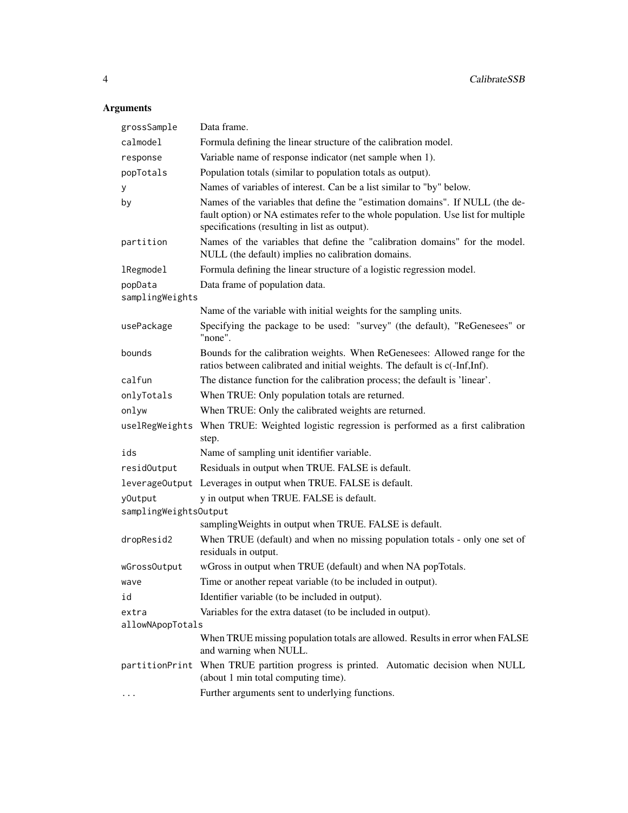### Arguments

| grossSample           | Data frame.                                                                                                                                                                                                          |
|-----------------------|----------------------------------------------------------------------------------------------------------------------------------------------------------------------------------------------------------------------|
| calmodel              | Formula defining the linear structure of the calibration model.                                                                                                                                                      |
| response              | Variable name of response indicator (net sample when 1).                                                                                                                                                             |
| popTotals             | Population totals (similar to population totals as output).                                                                                                                                                          |
| у                     | Names of variables of interest. Can be a list similar to "by" below.                                                                                                                                                 |
| by                    | Names of the variables that define the "estimation domains". If NULL (the de-<br>fault option) or NA estimates refer to the whole population. Use list for multiple<br>specifications (resulting in list as output). |
| partition             | Names of the variables that define the "calibration domains" for the model.<br>NULL (the default) implies no calibration domains.                                                                                    |
| <b>lRegmodel</b>      | Formula defining the linear structure of a logistic regression model.                                                                                                                                                |
| popData               | Data frame of population data.                                                                                                                                                                                       |
| samplingWeights       |                                                                                                                                                                                                                      |
|                       | Name of the variable with initial weights for the sampling units.                                                                                                                                                    |
| usePackage            | Specifying the package to be used: "survey" (the default), "ReGenesees" or<br>"none".                                                                                                                                |
| bounds                | Bounds for the calibration weights. When ReGenesees: Allowed range for the<br>ratios between calibrated and initial weights. The default is c(-Inf,Inf).                                                             |
| calfun                | The distance function for the calibration process; the default is 'linear'.                                                                                                                                          |
| onlyTotals            | When TRUE: Only population totals are returned.                                                                                                                                                                      |
| onlyw                 | When TRUE: Only the calibrated weights are returned.                                                                                                                                                                 |
| uselRegWeights        | When TRUE: Weighted logistic regression is performed as a first calibration<br>step.                                                                                                                                 |
| ids                   | Name of sampling unit identifier variable.                                                                                                                                                                           |
| residOutput           | Residuals in output when TRUE. FALSE is default.                                                                                                                                                                     |
|                       | leverageOutput Leverages in output when TRUE. FALSE is default.                                                                                                                                                      |
| yOutput               | y in output when TRUE. FALSE is default.                                                                                                                                                                             |
| samplingWeightsOutput |                                                                                                                                                                                                                      |
|                       | sampling Weights in output when TRUE. FALSE is default.                                                                                                                                                              |
| dropResid2            | When TRUE (default) and when no missing population totals - only one set of<br>residuals in output.                                                                                                                  |
| wGrossOutput          | wGross in output when TRUE (default) and when NA popTotals.                                                                                                                                                          |
| wave                  | Time or another repeat variable (to be included in output).                                                                                                                                                          |
| id                    | Identifier variable (to be included in output).                                                                                                                                                                      |
| extra                 | Variables for the extra dataset (to be included in output).                                                                                                                                                          |
| allowNApopTotals      |                                                                                                                                                                                                                      |
|                       | When TRUE missing population totals are allowed. Results in error when FALSE<br>and warning when NULL.                                                                                                               |
|                       | partitionPrint When TRUE partition progress is printed. Automatic decision when NULL<br>(about 1 min total computing time).                                                                                          |
|                       | Further arguments sent to underlying functions.                                                                                                                                                                      |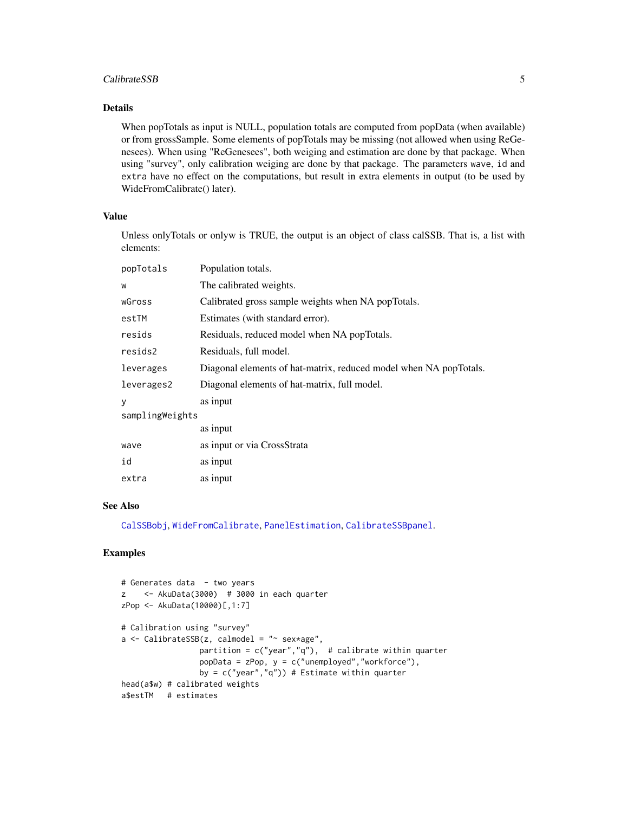#### <span id="page-4-0"></span>CalibrateSSB 5

#### Details

When popTotals as input is NULL, population totals are computed from popData (when available) or from grossSample. Some elements of popTotals may be missing (not allowed when using ReGenesees). When using "ReGenesees", both weiging and estimation are done by that package. When using "survey", only calibration weiging are done by that package. The parameters wave, id and extra have no effect on the computations, but result in extra elements in output (to be used by WideFromCalibrate() later).

#### Value

Unless onlyTotals or onlyw is TRUE, the output is an object of class calSSB. That is, a list with elements:

| popTotals       | Population totals.                                                |
|-----------------|-------------------------------------------------------------------|
| W               | The calibrated weights.                                           |
| wGross          | Calibrated gross sample weights when NA popTotals.                |
| estTM           | Estimates (with standard error).                                  |
| resids          | Residuals, reduced model when NA popTotals.                       |
| resids2         | Residuals, full model.                                            |
| leverages       | Diagonal elements of hat-matrix, reduced model when NA popTotals. |
| leverages2      | Diagonal elements of hat-matrix, full model.                      |
| У               | as input                                                          |
| samplingWeights |                                                                   |
|                 | as input                                                          |
| wave            | as input or via CrossStrata                                       |
| id              | as input                                                          |
| extra           | as input                                                          |

#### See Also

[CalSSBobj](#page-6-1), [WideFromCalibrate](#page-12-1), [PanelEstimation](#page-9-1), [CalibrateSSBpanel](#page-5-1).

```
# Generates data - two years
z <- AkuData(3000) # 3000 in each quarter
zPop <- AkuData(10000)[,1:7]
# Calibration using "survey"
a \leftarrow CalibrateSSB(z, calmodel = "~ sex*age",
                 partition = c("year","q"), # calibrate within quarter
                 popData = zPop, y = c("unemployed","workforce"),
                 by = c("year", "q")) # Estimate within quarter
head(a$w) # calibrated weights
a$estTM # estimates
```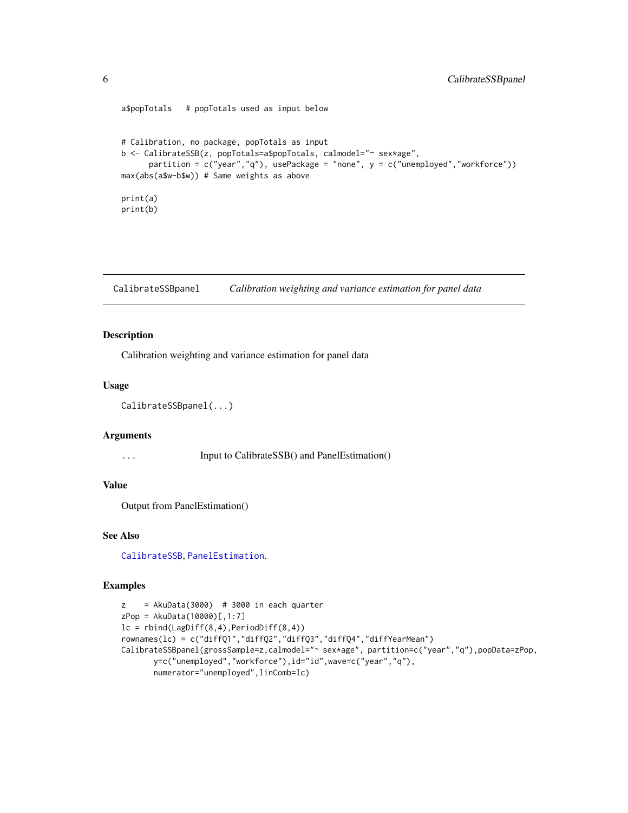```
a$popTotals # popTotals used as input below
# Calibration, no package, popTotals as input
b <- CalibrateSSB(z, popTotals=a$popTotals, calmodel="~ sex*age",
     partition = c("year", "q"), usePackage = "none", y = c("unemployed", "workerforce"))max(abs(a$w-b$w)) # Same weights as above
print(a)
print(b)
```
<span id="page-5-1"></span>CalibrateSSBpanel *Calibration weighting and variance estimation for panel data*

#### Description

Calibration weighting and variance estimation for panel data

#### Usage

```
CalibrateSSBpanel(...)
```
#### Arguments

... Input to CalibrateSSB() and PanelEstimation()

#### Value

Output from PanelEstimation()

#### See Also

[CalibrateSSB](#page-2-1), [PanelEstimation](#page-9-1).

```
z = AkuData(3000) # 3000 in each quarter
zPop = AkuData(10000)[,1:7]lc = rbind(LagDiff(8,4), PeriodDiff(8,4))
rownames(lc) = c("diffQ1","diffQ2","diffQ3","diffQ4","diffYearMean")
CalibrateSSBpanel(grossSample=z,calmodel="~ sex*age", partition=c("year","q"),popData=zPop,
       y=c("unemployed","workforce"),id="id",wave=c("year","q"),
       numerator="unemployed",linComb=lc)
```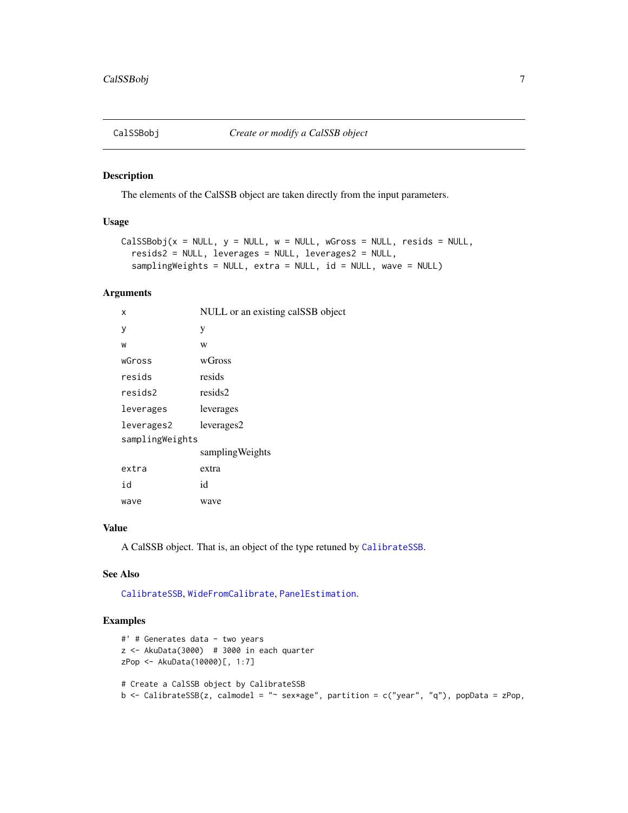<span id="page-6-1"></span><span id="page-6-0"></span>

#### Description

The elements of the CalSSB object are taken directly from the input parameters.

#### Usage

```
CalSSBobj(x = NULL, y = NULL, w = NULL, wGross = NULL, residue) = NULL,resids2 = NULL, leverages = NULL, leverages2 = NULL,
  samplingWeights = NULL, extra = NULL, id = NULL, wave = NULL)
```
#### Arguments

| x               | NULL or an existing calSSB object |
|-----------------|-----------------------------------|
| у               | у                                 |
| W               | W                                 |
| wGross          | wGross                            |
| resids          | resids                            |
| resids2         | resids2                           |
| leverages       | leverages                         |
| leverages2      | leverages2                        |
| samplingWeights |                                   |
|                 | sampling Weights                  |
| extra           | extra                             |
| id              | id                                |
| wave            | wave                              |

#### Value

A CalSSB object. That is, an object of the type retuned by [CalibrateSSB](#page-2-1).

#### See Also

[CalibrateSSB](#page-2-1), [WideFromCalibrate](#page-12-1), [PanelEstimation](#page-9-1).

```
#' # Generates data - two years
z \le - AkuData(3000) # 3000 in each quarter
zPop <- AkuData(10000)[, 1:7]
# Create a CalSSB object by CalibrateSSB
b \leq CalibrateSSB(z, calmodel = "\sim sex*age", partition = c("year", "q"), popData = zPop,
```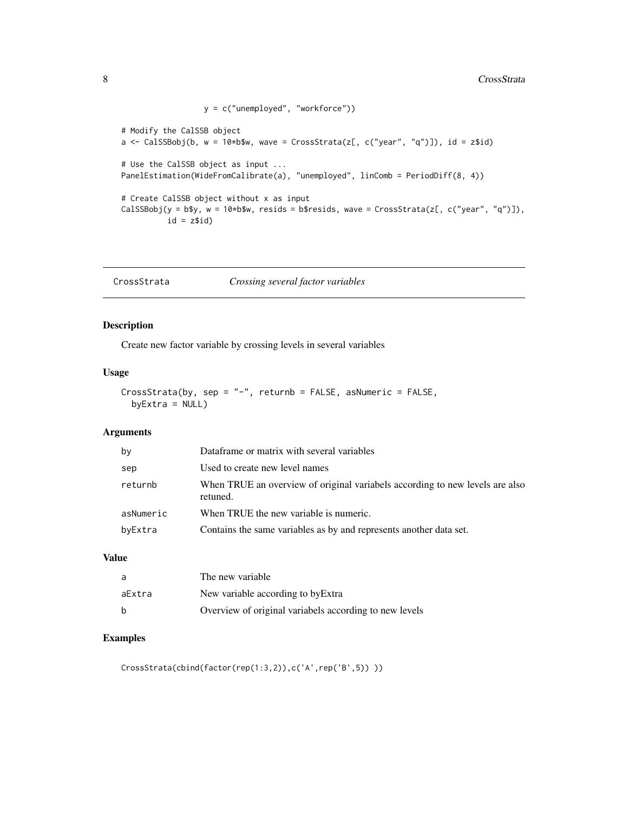```
y = c("unemployed", "workforce"))
# Modify the CalSSB object
a \leq CalSSBobj(b, w = 10*b$w, wave = CrossStrata(z[, c("year", "q")]), id = z$id)
# Use the CalSSB object as input ...
PanelEstimation(WideFromCalibrate(a), "unemployed", linComb = PeriodDiff(8, 4))
# Create CalSSB object without x as input
CalSSBobj(y = b$y, w = 10*b$w, resids = b$resids, wave = CrossStrata(z[, c("year", "q")]),
          id = z$id)
```
CrossStrata *Crossing several factor variables*

#### Description

Create new factor variable by crossing levels in several variables

#### Usage

```
CrossStrata(by, sep = "-", returnb = FALSE, asNumeric = FALSE,
 by Extra = NULL)
```
#### Arguments

| by        | Dataframe or matrix with several variables                                               |
|-----------|------------------------------------------------------------------------------------------|
| sep       | Used to create new level names                                                           |
| returnb   | When TRUE an overview of original variabels according to new levels are also<br>retuned. |
| asNumeric | When TRUE the new variable is numeric.                                                   |
| byExtra   | Contains the same variables as by and represents another data set.                       |

#### Value

| a            | The new variable                                       |
|--------------|--------------------------------------------------------|
| aExtra       | New variable according to by Extra                     |
| <sub>b</sub> | Overview of original variabels according to new levels |

#### Examples

CrossStrata(cbind(factor(rep(1:3,2)),c('A',rep('B',5)) ))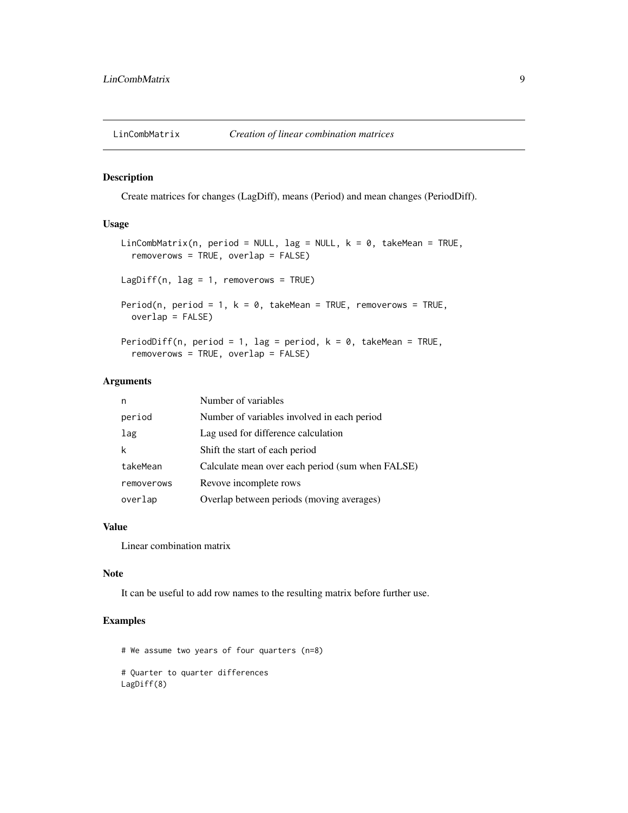<span id="page-8-0"></span>

#### Description

Create matrices for changes (LagDiff), means (Period) and mean changes (PeriodDiff).

#### Usage

```
LinCombMatrix(n, period = NULL, lag = NULL, k = 0, takeMean = TRUE,removerows = TRUE, overlap = FALSE)
LagDiff(n, lag = 1, removerows = TRUE)
Period(n, period = 1, k = 0, takeMean = TRUE, removerows = TRUE,
 overlap = FALSE)
PeriodDiff(n, period = 1, lag = period, k = 0, takeMean = TRUE,
  removerows = TRUE, overlap = FALSE)
```
#### Arguments

| n          | Number of variables                              |
|------------|--------------------------------------------------|
| period     | Number of variables involved in each period      |
| lag        | Lag used for difference calculation              |
| k          | Shift the start of each period                   |
| takeMean   | Calculate mean over each period (sum when FALSE) |
| removerows | Revove incomplete rows                           |
| overlap    | Overlap between periods (moving averages)        |

#### Value

Linear combination matrix

#### Note

It can be useful to add row names to the resulting matrix before further use.

#### Examples

# We assume two years of four quarters (n=8) # Quarter to quarter differences LagDiff(8)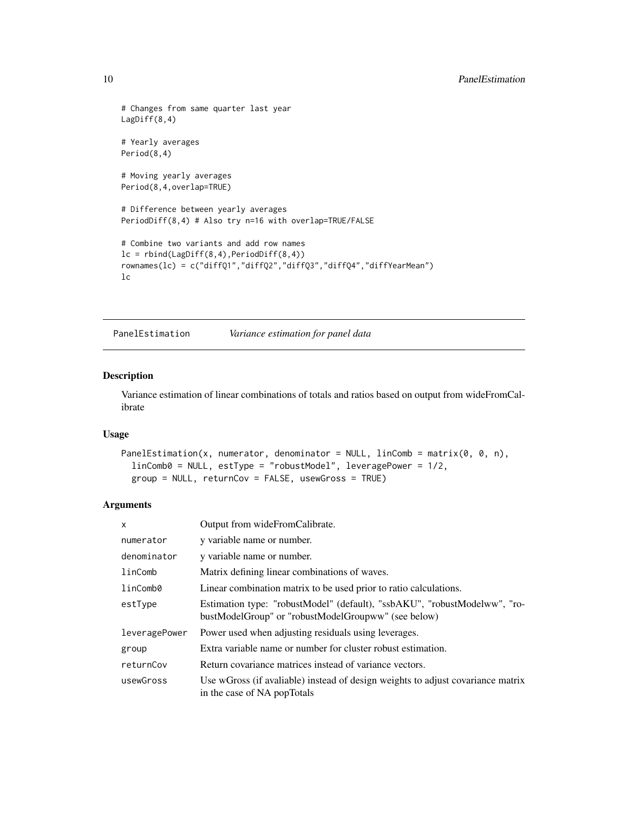```
# Changes from same quarter last year
LagDiff(8,4)
# Yearly averages
Period(8,4)
# Moving yearly averages
Period(8,4,overlap=TRUE)
# Difference between yearly averages
PeriodDiff(8,4) # Also try n=16 with overlap=TRUE/FALSE
# Combine two variants and add row names
lc = rbind(LagDiff(8,4),PeriodDiff(8,4))rownames(lc) = c("diffQ1","diffQ2","diffQ3","diffQ4","diffYearMean")
lc
```
<span id="page-9-1"></span>PanelEstimation *Variance estimation for panel data*

#### Description

Variance estimation of linear combinations of totals and ratios based on output from wideFromCalibrate

#### Usage

```
PanelEstimation(x, numerator, denominator = NULL, linComb = matrix(0, 0, n),
  linComb0 = NULL, estType = "robustModel", leveragePower = 1/2,
 group = NULL, returnCov = FALSE, usewGross = TRUE)
```
#### Arguments

| X             | Output from wideFromCalibrate.                                                                                                   |
|---------------|----------------------------------------------------------------------------------------------------------------------------------|
| numerator     | y variable name or number.                                                                                                       |
| denominator   | y variable name or number.                                                                                                       |
| linComb       | Matrix defining linear combinations of waves.                                                                                    |
| linComb0      | Linear combination matrix to be used prior to ratio calculations.                                                                |
| estType       | Estimation type: "robustModel" (default), "ssbAKU", "robustModelww", "ro-<br>bustModelGroup" or "robustModelGroupww" (see below) |
| leveragePower | Power used when adjusting residuals using leverages.                                                                             |
| group         | Extra variable name or number for cluster robust estimation.                                                                     |
| returnCov     | Return covariance matrices instead of variance vectors.                                                                          |
| usewGross     | Use wGross (if avaliable) instead of design weights to adjust covariance matrix<br>in the case of NA popTotals                   |

<span id="page-9-0"></span>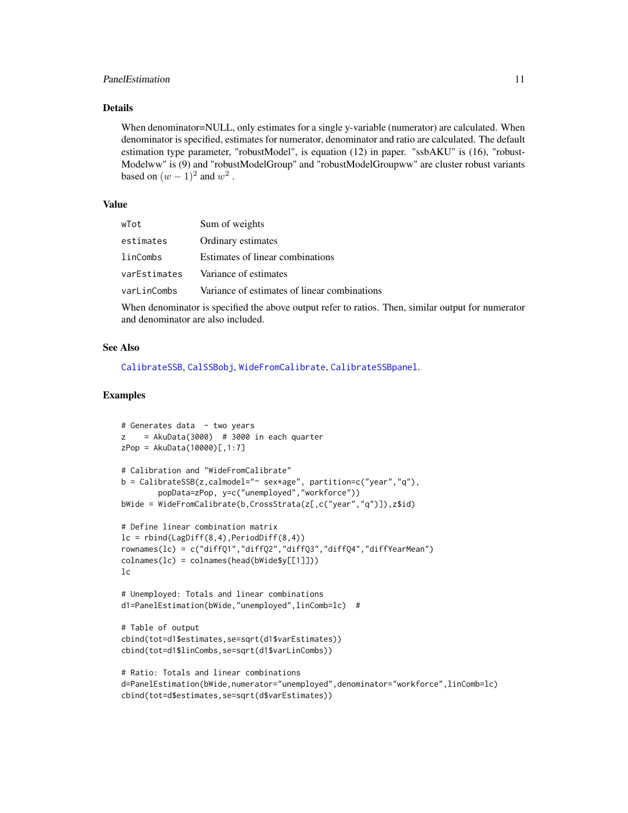#### <span id="page-10-0"></span>PanelEstimation 11

#### Details

When denominator=NULL, only estimates for a single y-variable (numerator) are calculated. When denominator is specified, estimates for numerator, denominator and ratio are calculated. The default estimation type parameter, "robustModel", is equation (12) in paper. "ssbAKU" is (16), "robust-Modelww" is (9) and "robustModelGroup" and "robustModelGroupww" are cluster robust variants based on  $(w-1)^2$  and  $w^2$ .

#### Value

| wTot         | Sum of weights                               |
|--------------|----------------------------------------------|
| estimates    | Ordinary estimates                           |
| linCombs     | Estimates of linear combinations             |
| varEstimates | Variance of estimates                        |
| varLinCombs  | Variance of estimates of linear combinations |
|              |                                              |

When denominator is specified the above output refer to ratios. Then, similar output for numerator and denominator are also included.

#### See Also

[CalibrateSSB](#page-2-1), [CalSSBobj](#page-6-1), [WideFromCalibrate](#page-12-1), [CalibrateSSBpanel](#page-5-1).

```
# Generates data - two years
z = AkuData(3000) # 3000 in each quarter
zPop = AkuData(10000)[,1:7]
# Calibration and "WideFromCalibrate"
b = CalibrateSSB(z,calmodel="~ sex*age", partition=c("year","q"),
        popData=zPop, y=c("unemployed","workforce"))
bWide = WideFromCalibrate(b,CrossStrata(z[,c("year","q")]),z$id)
# Define linear combination matrix
lc = rbind(LagDiff(8,4),PeriodDiff(8,4))rownames(lc) = c("diffQ1","diffQ2","diffQ3","diffQ4","diffYearMean")
colnames(lc) = colnames(head(bWide$y[[1]]))
lc
# Unemployed: Totals and linear combinations
d1=PanelEstimation(bWide,"unemployed",linComb=lc) #
# Table of output
cbind(tot=d1$estimates,se=sqrt(d1$varEstimates))
cbind(tot=d1$linCombs,se=sqrt(d1$varLinCombs))
# Ratio: Totals and linear combinations
d=PanelEstimation(bWide,numerator="unemployed",denominator="workforce",linComb=lc)
cbind(tot=d$estimates,se=sqrt(d$varEstimates))
```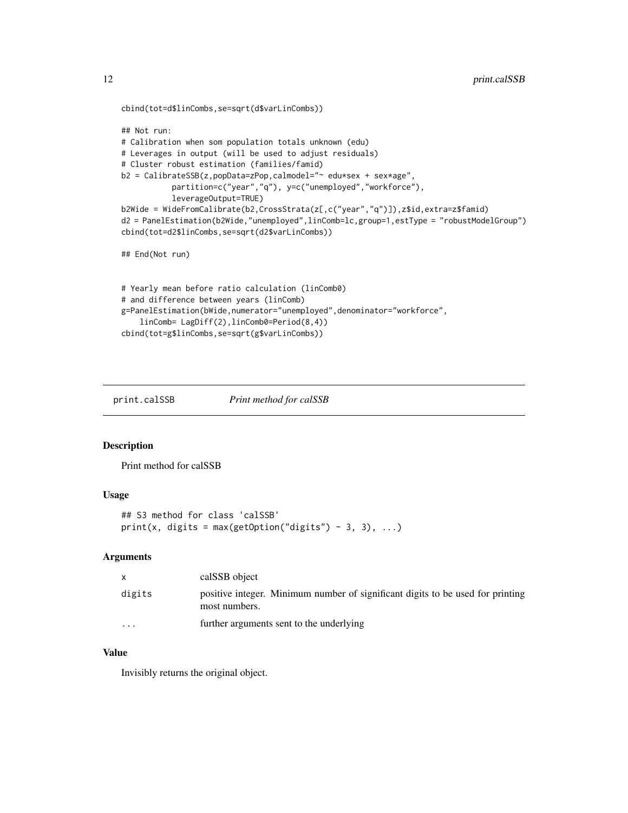```
cbind(tot=d$linCombs,se=sqrt(d$varLinCombs))
```

```
## Not run:
# Calibration when som population totals unknown (edu)
# Leverages in output (will be used to adjust residuals)
# Cluster robust estimation (families/famid)
b2 = CalibrateSSB(z,popData=zPop,calmodel="~ edu*sex + sex*age",
           partition=c("year","q"), y=c("unemployed","workforce"),
           leverageOutput=TRUE)
b2Wide = WideFromCalibrate(b2,CrossStrata(z[,c("year","q")]),z$id,extra=z$famid)
d2 = PanelEstimation(b2Wide,"unemployed",linComb=lc,group=1,estType = "robustModelGroup")
cbind(tot=d2$linCombs,se=sqrt(d2$varLinCombs))
## End(Not run)
# Yearly mean before ratio calculation (linComb0)
# and difference between years (linComb)
g=PanelEstimation(bWide,numerator="unemployed",denominator="workforce",
```

```
linComb= LagDiff(2),linComb0=Period(8,4))
cbind(tot=g$linCombs,se=sqrt(g$varLinCombs))
```
print.calSSB *Print method for calSSB*

#### Description

Print method for calSSB

#### Usage

```
## S3 method for class 'calSSB'
print(x, digits = max(getOption("digits") - 3, 3), ...)
```
#### Arguments

|                         | calSSB object                                                                                   |
|-------------------------|-------------------------------------------------------------------------------------------------|
| digits                  | positive integer. Minimum number of significant digits to be used for printing<br>most numbers. |
| $\cdot$ $\cdot$ $\cdot$ | further arguments sent to the underlying                                                        |

#### Value

Invisibly returns the original object.

<span id="page-11-0"></span>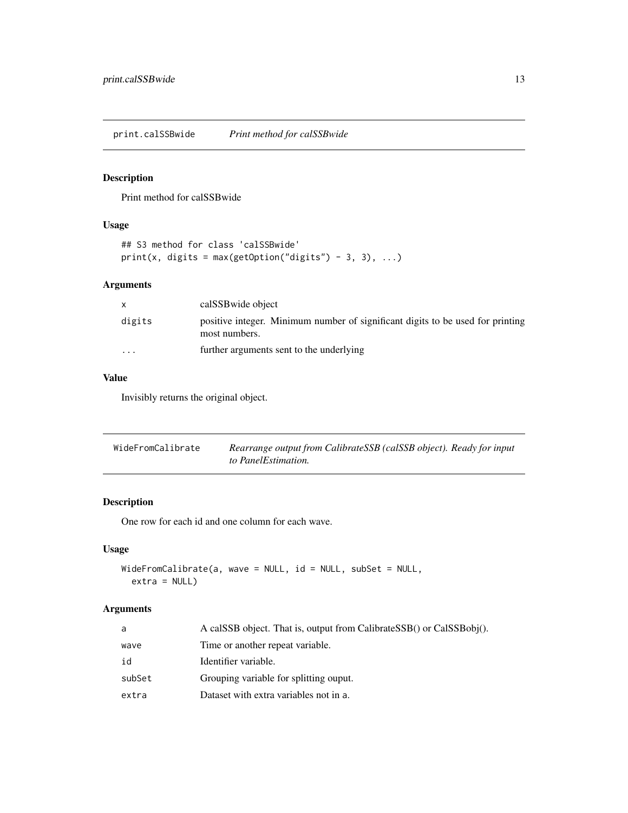<span id="page-12-0"></span>print.calSSBwide *Print method for calSSBwide*

#### Description

Print method for calSSBwide

#### Usage

```
## S3 method for class 'calSSBwide'
print(x, digits = max(getOption("digits") - 3, 3), ...)
```
#### Arguments

|                         | calSSB wide object                                                                              |
|-------------------------|-------------------------------------------------------------------------------------------------|
| digits                  | positive integer. Minimum number of significant digits to be used for printing<br>most numbers. |
| $\cdot$ $\cdot$ $\cdot$ | further arguments sent to the underlying                                                        |

#### Value

Invisibly returns the original object.

<span id="page-12-1"></span>

| WideFromCalibrate | Rearrange output from CalibrateSSB (calSSB object). Ready for input |
|-------------------|---------------------------------------------------------------------|
|                   | to PanelEstimation.                                                 |

#### Description

One row for each id and one column for each wave.

#### Usage

```
WideFromCalibrate(a, wave = NULL, id = NULL, subSet = NULL,
  extra = NULL)
```
#### Arguments

| a      | A calSSB object. That is, output from CalibrateSSB() or CalSSBobj(). |
|--------|----------------------------------------------------------------------|
| wave   | Time or another repeat variable.                                     |
| id     | Identifier variable.                                                 |
| subSet | Grouping variable for splitting ouput.                               |
| extra  | Dataset with extra variables not in a.                               |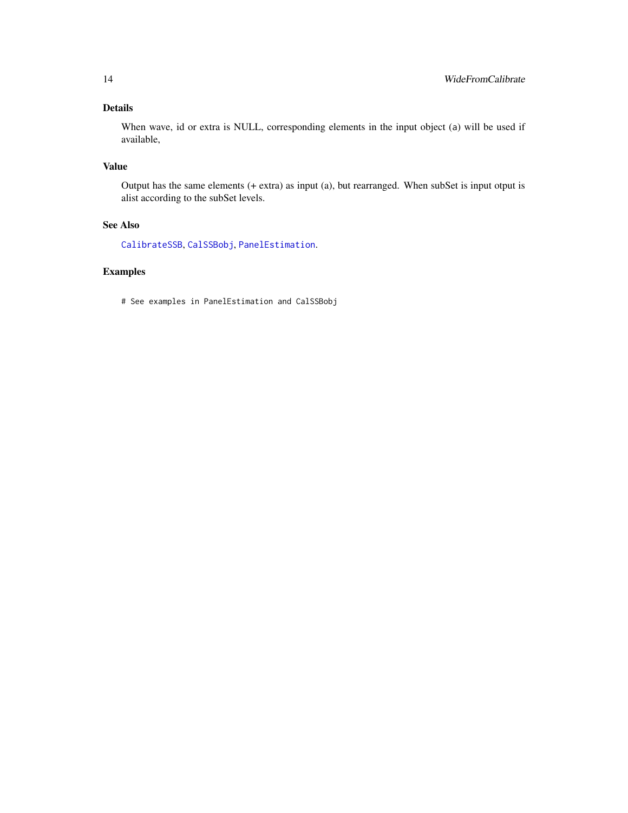#### <span id="page-13-0"></span>Details

When wave, id or extra is NULL, corresponding elements in the input object (a) will be used if available,

#### Value

Output has the same elements (+ extra) as input (a), but rearranged. When subSet is input otput is alist according to the subSet levels.

#### See Also

[CalibrateSSB](#page-2-1), [CalSSBobj](#page-6-1), [PanelEstimation](#page-9-1).

#### Examples

# See examples in PanelEstimation and CalSSBobj